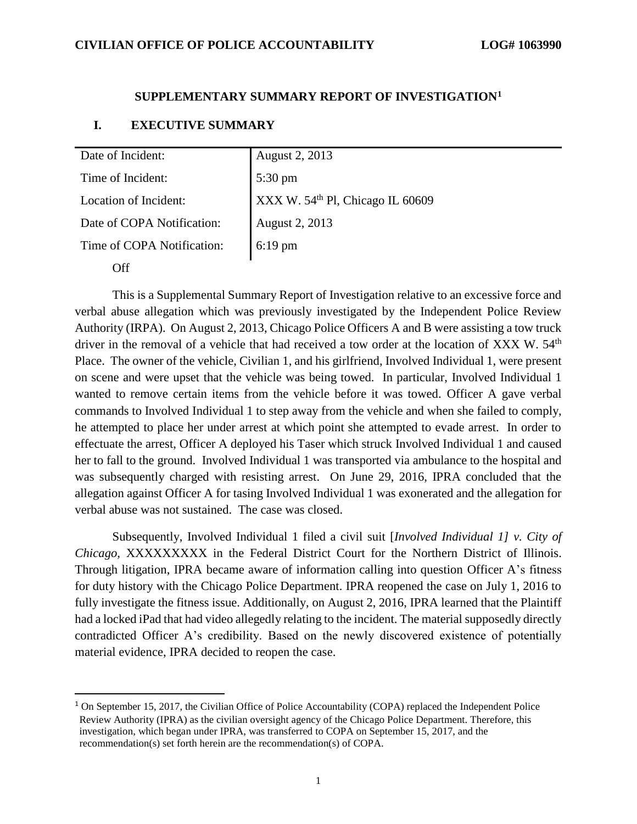#### **SUPPLEMENTARY SUMMARY REPORT OF INVESTIGATION<sup>1</sup>**

#### **I. EXECUTIVE SUMMARY**

**Off** 

 $\overline{a}$ 

| Date of Incident:          | <b>August 2, 2013</b>                        |
|----------------------------|----------------------------------------------|
| Time of Incident:          | 5:30 pm                                      |
| Location of Incident:      | XXX W. 54 <sup>th</sup> Pl, Chicago IL 60609 |
| Date of COPA Notification: | August 2, 2013                               |
| Time of COPA Notification: | 6:19 pm                                      |
|                            |                                              |

This is a Supplemental Summary Report of Investigation relative to an excessive force and verbal abuse allegation which was previously investigated by the Independent Police Review Authority (IRPA). On August 2, 2013, Chicago Police Officers A and B were assisting a tow truck driver in the removal of a vehicle that had received a tow order at the location of XXX W. 54<sup>th</sup> Place. The owner of the vehicle, Civilian 1, and his girlfriend, Involved Individual 1, were present on scene and were upset that the vehicle was being towed. In particular, Involved Individual 1 wanted to remove certain items from the vehicle before it was towed. Officer A gave verbal commands to Involved Individual 1 to step away from the vehicle and when she failed to comply, he attempted to place her under arrest at which point she attempted to evade arrest. In order to effectuate the arrest, Officer A deployed his Taser which struck Involved Individual 1 and caused her to fall to the ground. Involved Individual 1 was transported via ambulance to the hospital and was subsequently charged with resisting arrest. On June 29, 2016, IPRA concluded that the allegation against Officer A for tasing Involved Individual 1 was exonerated and the allegation for verbal abuse was not sustained. The case was closed.

Subsequently, Involved Individual 1 filed a civil suit [*Involved Individual 1] v. City of Chicago,* XXXXXXXXX in the Federal District Court for the Northern District of Illinois. Through litigation, IPRA became aware of information calling into question Officer A's fitness for duty history with the Chicago Police Department. IPRA reopened the case on July 1, 2016 to fully investigate the fitness issue. Additionally, on August 2, 2016, IPRA learned that the Plaintiff had a locked iPad that had video allegedly relating to the incident. The material supposedly directly contradicted Officer A's credibility. Based on the newly discovered existence of potentially material evidence, IPRA decided to reopen the case.

<sup>&</sup>lt;sup>1</sup> On September 15, 2017, the Civilian Office of Police Accountability (COPA) replaced the Independent Police Review Authority (IPRA) as the civilian oversight agency of the Chicago Police Department. Therefore, this investigation, which began under IPRA, was transferred to COPA on September 15, 2017, and the recommendation(s) set forth herein are the recommendation(s) of COPA.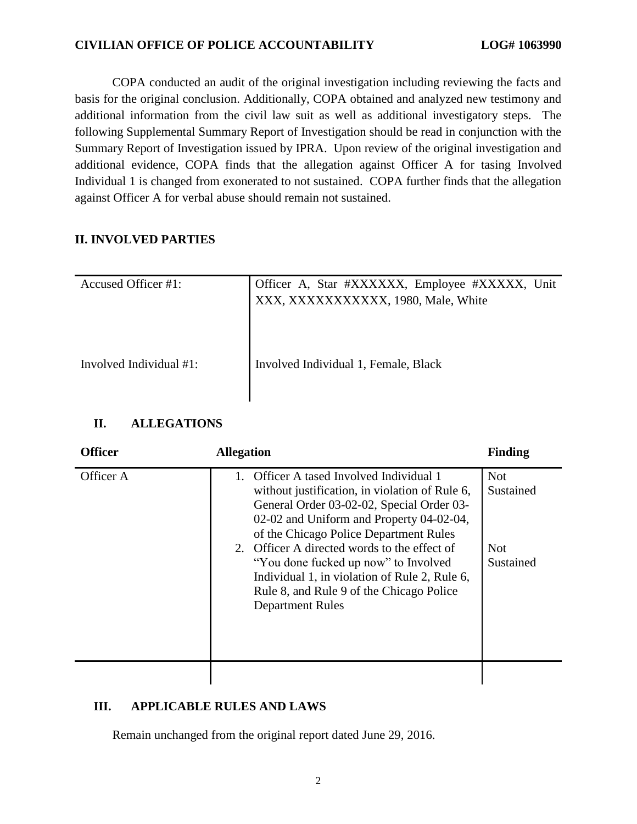COPA conducted an audit of the original investigation including reviewing the facts and basis for the original conclusion. Additionally, COPA obtained and analyzed new testimony and additional information from the civil law suit as well as additional investigatory steps. The following Supplemental Summary Report of Investigation should be read in conjunction with the Summary Report of Investigation issued by IPRA. Upon review of the original investigation and additional evidence, COPA finds that the allegation against Officer A for tasing Involved Individual 1 is changed from exonerated to not sustained. COPA further finds that the allegation against Officer A for verbal abuse should remain not sustained.

# **II. INVOLVED PARTIES**

| Accused Officer #1:     | Officer A, Star #XXXXXX, Employee #XXXXX, Unit<br>XXX, XXXXXXXXXXX, 1980, Male, White |
|-------------------------|---------------------------------------------------------------------------------------|
| Involved Individual #1: | Involved Individual 1, Female, Black                                                  |

# **II. ALLEGATIONS**

| <b>Officer</b> | <b>Allegation</b>                                                                                                                                                                                                                                                                                                                                                                                                                             | <b>Finding</b>                                     |
|----------------|-----------------------------------------------------------------------------------------------------------------------------------------------------------------------------------------------------------------------------------------------------------------------------------------------------------------------------------------------------------------------------------------------------------------------------------------------|----------------------------------------------------|
| Officer A      | 1. Officer A tased Involved Individual 1<br>without justification, in violation of Rule 6,<br>General Order 03-02-02, Special Order 03-<br>02-02 and Uniform and Property 04-02-04,<br>of the Chicago Police Department Rules<br>2. Officer A directed words to the effect of<br>"You done fucked up now" to Involved<br>Individual 1, in violation of Rule 2, Rule 6,<br>Rule 8, and Rule 9 of the Chicago Police<br><b>Department Rules</b> | <b>Not</b><br>Sustained<br><b>Not</b><br>Sustained |
|                |                                                                                                                                                                                                                                                                                                                                                                                                                                               |                                                    |

# **III. APPLICABLE RULES AND LAWS**

Remain unchanged from the original report dated June 29, 2016.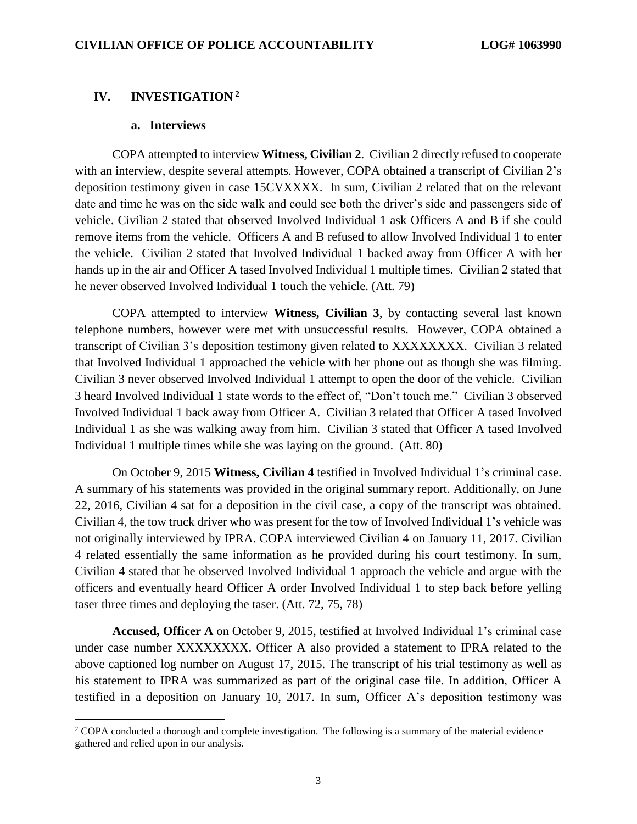#### **IV. INVESTIGATION <sup>2</sup>**

### **a. Interviews**

 $\overline{a}$ 

COPA attempted to interview **Witness, Civilian 2**. Civilian 2 directly refused to cooperate with an interview, despite several attempts. However, COPA obtained a transcript of Civilian 2's deposition testimony given in case 15CVXXXX. In sum, Civilian 2 related that on the relevant date and time he was on the side walk and could see both the driver's side and passengers side of vehicle. Civilian 2 stated that observed Involved Individual 1 ask Officers A and B if she could remove items from the vehicle. Officers A and B refused to allow Involved Individual 1 to enter the vehicle. Civilian 2 stated that Involved Individual 1 backed away from Officer A with her hands up in the air and Officer A tased Involved Individual 1 multiple times. Civilian 2 stated that he never observed Involved Individual 1 touch the vehicle. (Att. 79)

COPA attempted to interview **Witness, Civilian 3**, by contacting several last known telephone numbers, however were met with unsuccessful results. However, COPA obtained a transcript of Civilian 3's deposition testimony given related to XXXXXXXX. Civilian 3 related that Involved Individual 1 approached the vehicle with her phone out as though she was filming. Civilian 3 never observed Involved Individual 1 attempt to open the door of the vehicle. Civilian 3 heard Involved Individual 1 state words to the effect of, "Don't touch me." Civilian 3 observed Involved Individual 1 back away from Officer A. Civilian 3 related that Officer A tased Involved Individual 1 as she was walking away from him. Civilian 3 stated that Officer A tased Involved Individual 1 multiple times while she was laying on the ground. (Att. 80)

On October 9, 2015 **Witness, Civilian 4** testified in Involved Individual 1's criminal case. A summary of his statements was provided in the original summary report. Additionally, on June 22, 2016, Civilian 4 sat for a deposition in the civil case, a copy of the transcript was obtained. Civilian 4, the tow truck driver who was present for the tow of Involved Individual 1's vehicle was not originally interviewed by IPRA. COPA interviewed Civilian 4 on January 11, 2017. Civilian 4 related essentially the same information as he provided during his court testimony. In sum, Civilian 4 stated that he observed Involved Individual 1 approach the vehicle and argue with the officers and eventually heard Officer A order Involved Individual 1 to step back before yelling taser three times and deploying the taser. (Att. 72, 75, 78)

**Accused, Officer A** on October 9, 2015, testified at Involved Individual 1's criminal case under case number XXXXXXXX. Officer A also provided a statement to IPRA related to the above captioned log number on August 17, 2015. The transcript of his trial testimony as well as his statement to IPRA was summarized as part of the original case file. In addition, Officer A testified in a deposition on January 10, 2017. In sum, Officer A's deposition testimony was

<sup>&</sup>lt;sup>2</sup> COPA conducted a thorough and complete investigation. The following is a summary of the material evidence gathered and relied upon in our analysis.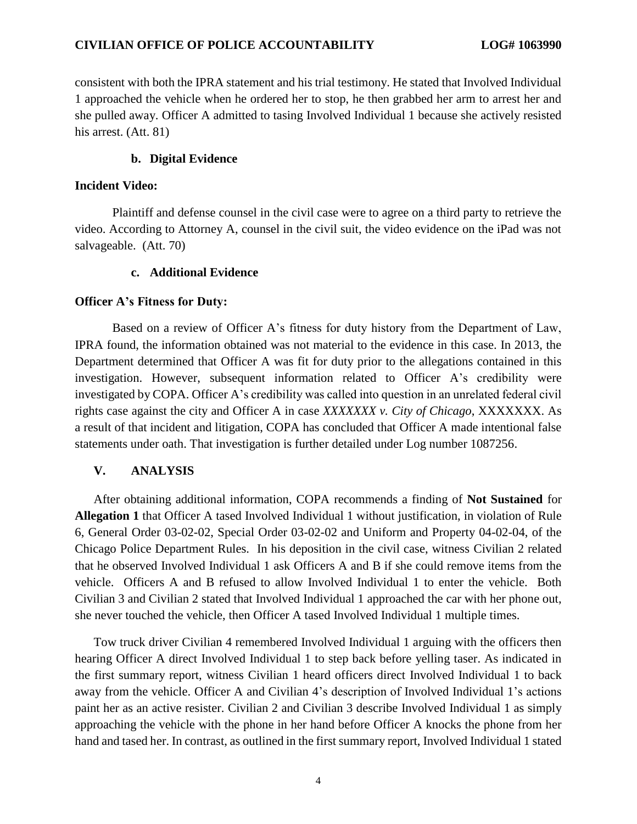consistent with both the IPRA statement and his trial testimony. He stated that Involved Individual 1 approached the vehicle when he ordered her to stop, he then grabbed her arm to arrest her and she pulled away. Officer A admitted to tasing Involved Individual 1 because she actively resisted his arrest. (Att. 81)

#### **b. Digital Evidence**

#### **Incident Video:**

Plaintiff and defense counsel in the civil case were to agree on a third party to retrieve the video. According to Attorney A, counsel in the civil suit, the video evidence on the iPad was not salvageable. (Att. 70)

#### **c. Additional Evidence**

#### **Officer A's Fitness for Duty:**

Based on a review of Officer A's fitness for duty history from the Department of Law, IPRA found, the information obtained was not material to the evidence in this case. In 2013, the Department determined that Officer A was fit for duty prior to the allegations contained in this investigation. However, subsequent information related to Officer A's credibility were investigated by COPA. Officer A's credibility was called into question in an unrelated federal civil rights case against the city and Officer A in case *XXXXXXX v. City of Chicago*, XXXXXXX. As a result of that incident and litigation, COPA has concluded that Officer A made intentional false statements under oath. That investigation is further detailed under Log number 1087256.

### **V. ANALYSIS**

After obtaining additional information, COPA recommends a finding of **Not Sustained** for **Allegation 1** that Officer A tased Involved Individual 1 without justification, in violation of Rule 6, General Order 03-02-02, Special Order 03-02-02 and Uniform and Property 04-02-04, of the Chicago Police Department Rules. In his deposition in the civil case, witness Civilian 2 related that he observed Involved Individual 1 ask Officers A and B if she could remove items from the vehicle. Officers A and B refused to allow Involved Individual 1 to enter the vehicle. Both Civilian 3 and Civilian 2 stated that Involved Individual 1 approached the car with her phone out, she never touched the vehicle, then Officer A tased Involved Individual 1 multiple times.

Tow truck driver Civilian 4 remembered Involved Individual 1 arguing with the officers then hearing Officer A direct Involved Individual 1 to step back before yelling taser. As indicated in the first summary report, witness Civilian 1 heard officers direct Involved Individual 1 to back away from the vehicle. Officer A and Civilian 4's description of Involved Individual 1's actions paint her as an active resister. Civilian 2 and Civilian 3 describe Involved Individual 1 as simply approaching the vehicle with the phone in her hand before Officer A knocks the phone from her hand and tased her. In contrast, as outlined in the first summary report, Involved Individual 1 stated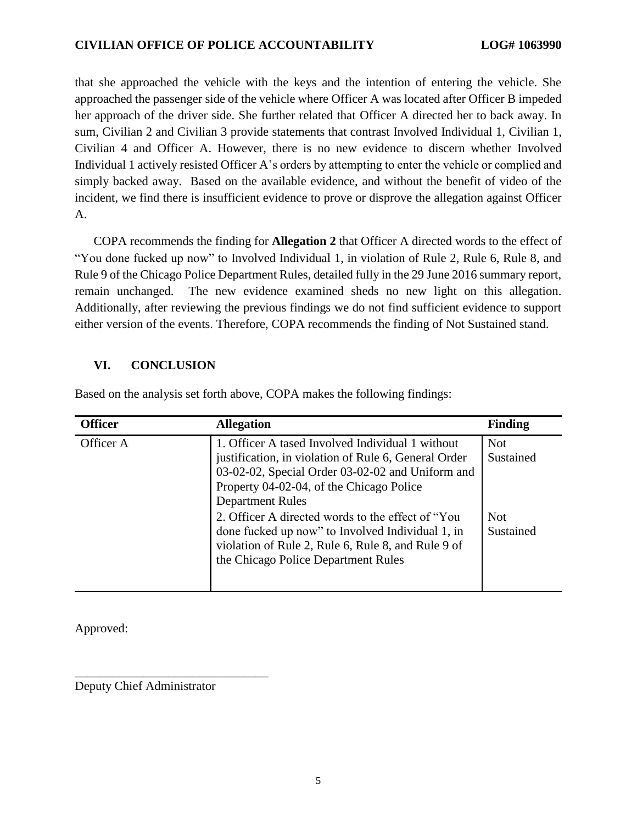that she approached the vehicle with the keys and the intention of entering the vehicle. She approached the passenger side of the vehicle where Officer A was located after Officer B impeded her approach of the driver side. She further related that Officer A directed her to back away. In sum, Civilian 2 and Civilian 3 provide statements that contrast Involved Individual 1, Civilian 1, Civilian 4 and Officer A. However, there is no new evidence to discern whether Involved Individual 1 actively resisted Officer A's orders by attempting to enter the vehicle or complied and simply backed away. Based on the available evidence, and without the benefit of video of the incident, we find there is insufficient evidence to prove or disprove the allegation against Officer A.

COPA recommends the finding for **Allegation 2** that Officer A directed words to the effect of "You done fucked up now" to Involved Individual 1, in violation of Rule 2, Rule 6, Rule 8, and Rule 9 of the Chicago Police Department Rules, detailed fully in the 29 June 2016 summary report, remain unchanged. The new evidence examined sheds no new light on this allegation. Additionally, after reviewing the previous findings we do not find sufficient evidence to support either version of the events. Therefore, COPA recommends the finding of Not Sustained stand.

## **VI. CONCLUSION**

Based on the analysis set forth above, COPA makes the following findings:

| <b>Officer</b> | <b>Allegation</b>                                                                                                                                                                                                                                                                                                                                                                                                                          | <b>Finding</b>                                     |
|----------------|--------------------------------------------------------------------------------------------------------------------------------------------------------------------------------------------------------------------------------------------------------------------------------------------------------------------------------------------------------------------------------------------------------------------------------------------|----------------------------------------------------|
| Officer A      | 1. Officer A tased Involved Individual 1 without<br>justification, in violation of Rule 6, General Order<br>03-02-02, Special Order 03-02-02 and Uniform and<br>Property 04-02-04, of the Chicago Police<br><b>Department Rules</b><br>2. Officer A directed words to the effect of "You"<br>done fucked up now" to Involved Individual 1, in<br>violation of Rule 2, Rule 6, Rule 8, and Rule 9 of<br>the Chicago Police Department Rules | <b>Not</b><br>Sustained<br><b>Not</b><br>Sustained |
|                |                                                                                                                                                                                                                                                                                                                                                                                                                                            |                                                    |

Approved:

Deputy Chief Administrator

\_\_\_\_\_\_\_\_\_\_\_\_\_\_\_\_\_\_\_\_\_\_\_\_\_\_\_\_\_\_\_